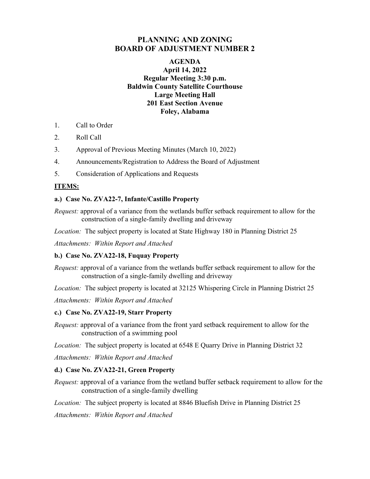# **PLANNING AND ZONING BOARD OF ADJUSTMENT NUMBER 2**

## **AGENDA April 14, 2022 Regular Meeting 3:30 p.m. Baldwin County Satellite Courthouse Large Meeting Hall 201 East Section Avenue Foley, Alabama**

- 1. Call to Order
- 2. Roll Call
- 3. Approval of Previous Meeting Minutes (March 10, 2022)
- 4. Announcements/Registration to Address the Board of Adjustment
- 5. Consideration of Applications and Requests

### **ITEMS:**

#### **a.) Case No. ZVA22-7, Infante/Castillo Property**

*Request:* approval of a variance from the wetlands buffer setback requirement to allow for the construction of a single-family dwelling and driveway

*Location:* The subject property is located at State Highway 180 in Planning District 25

*Attachments: Within Report and Attached* 

#### **b.) Case No. ZVA22-18, Fuquay Property**

*Request:* approval of a variance from the wetlands buffer setback requirement to allow for the construction of a single-family dwelling and driveway

*Location:* The subject property is located at 32125 Whispering Circle in Planning District 25

*Attachments: Within Report and Attached* 

#### **c.) Case No. ZVA22-19, Starr Property**

*Request:* approval of a variance from the front yard setback requirement to allow for the construction of a swimming pool

*Location:* The subject property is located at 6548 E Quarry Drive in Planning District 32

*Attachments: Within Report and Attached* 

#### **d.) Case No. ZVA22-21, Green Property**

*Request:* approval of a variance from the wetland buffer setback requirement to allow for the construction of a single-family dwelling

*Location:* The subject property is located at 8846 Bluefish Drive in Planning District 25

*Attachments: Within Report and Attached*